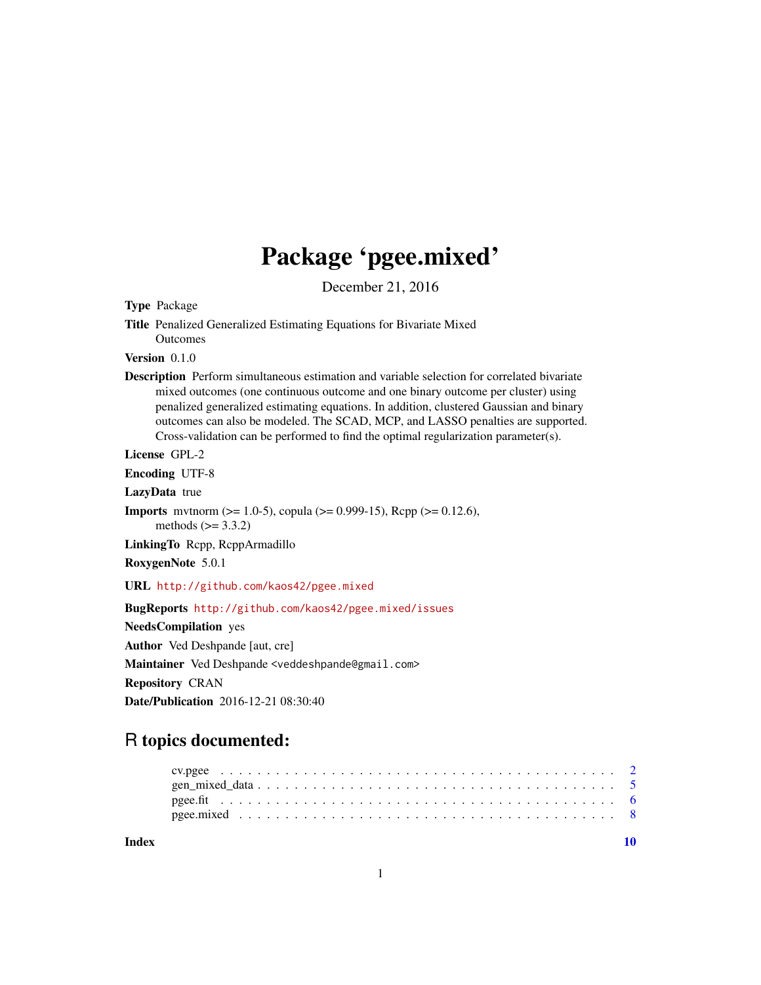# Package 'pgee.mixed'

December 21, 2016

Type Package

Title Penalized Generalized Estimating Equations for Bivariate Mixed Outcomes

Version 0.1.0

Description Perform simultaneous estimation and variable selection for correlated bivariate mixed outcomes (one continuous outcome and one binary outcome per cluster) using penalized generalized estimating equations. In addition, clustered Gaussian and binary outcomes can also be modeled. The SCAD, MCP, and LASSO penalties are supported. Cross-validation can be performed to find the optimal regularization parameter(s).

License GPL-2

Encoding UTF-8

LazyData true

**Imports** mythorm ( $>= 1.0-5$ ), copula ( $>= 0.999-15$ ), Rcpp ( $>= 0.12.6$ ), methods  $(>= 3.3.2)$ 

LinkingTo Rcpp, RcppArmadillo

RoxygenNote 5.0.1

URL <http://github.com/kaos42/pgee.mixed>

BugReports <http://github.com/kaos42/pgee.mixed/issues>

NeedsCompilation yes

Author Ved Deshpande [aut, cre]

Maintainer Ved Deshpande <veddeshpande@gmail.com> Repository CRAN

Date/Publication 2016-12-21 08:30:40

## R topics documented:

 $\blacksquare$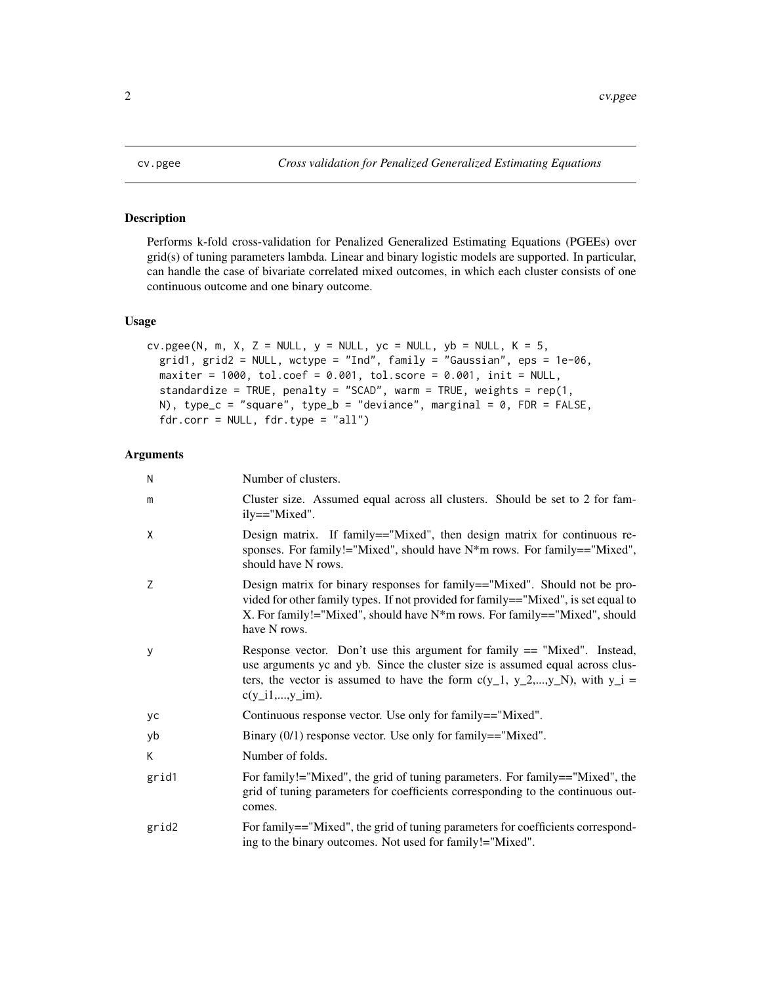<span id="page-1-0"></span>

#### Description

Performs k-fold cross-validation for Penalized Generalized Estimating Equations (PGEEs) over grid(s) of tuning parameters lambda. Linear and binary logistic models are supported. In particular, can handle the case of bivariate correlated mixed outcomes, in which each cluster consists of one continuous outcome and one binary outcome.

#### Usage

```
cv.pgee(N, m, X, Z = NULL, y = NULL, yc = NULL, yb = NULL, K = 5,grid1, grid2 = NULL, wctype = "Ind", family = "Gaussian", eps = 1e-06,
 maxiter = 1000, tol.coef = 0.001, tol.score = 0.001, init = NULL,
  standardize = TRUE, penalty = "SCAD", warm = TRUE, weights = rep(1,N), type_c = "square", type_b = "deviance", marginal = 0, FDR = FALSE,
  fdr.corr = NULL, fdr.type = "all")
```
#### Arguments

| N     | Number of clusters.                                                                                                                                                                                                                                               |
|-------|-------------------------------------------------------------------------------------------------------------------------------------------------------------------------------------------------------------------------------------------------------------------|
| m     | Cluster size. Assumed equal across all clusters. Should be set to 2 for fam-<br>ily=="Mixed".                                                                                                                                                                     |
| X     | Design matrix. If family=="Mixed", then design matrix for continuous re-<br>sponses. For family!="Mixed", should have $N^*$ m rows. For family=="Mixed",<br>should have N rows.                                                                                   |
| Z     | Design matrix for binary responses for family=="Mixed". Should not be pro-<br>vided for other family types. If not provided for family=="Mixed", is set equal to<br>X. For family!="Mixed", should have $N^*m$ rows. For family=="Mixed", should<br>have N rows.  |
| y     | Response vector. Don't use this argument for family $==$ "Mixed". Instead,<br>use arguments yc and yb. Since the cluster size is assumed equal across clus-<br>ters, the vector is assumed to have the form $c(y_1, y_2,,y_N)$ , with $y_i =$<br>$c(y_i1,,y_i)$ . |
| уc    | Continuous response vector. Use only for family=="Mixed".                                                                                                                                                                                                         |
| yb    | Binary $(0/1)$ response vector. Use only for family=="Mixed".                                                                                                                                                                                                     |
| K     | Number of folds.                                                                                                                                                                                                                                                  |
| grid1 | For family!="Mixed", the grid of tuning parameters. For family=="Mixed", the<br>grid of tuning parameters for coefficients corresponding to the continuous out-<br>comes.                                                                                         |
| grid2 | For family=="Mixed", the grid of tuning parameters for coefficients correspond-<br>ing to the binary outcomes. Not used for family!="Mixed".                                                                                                                      |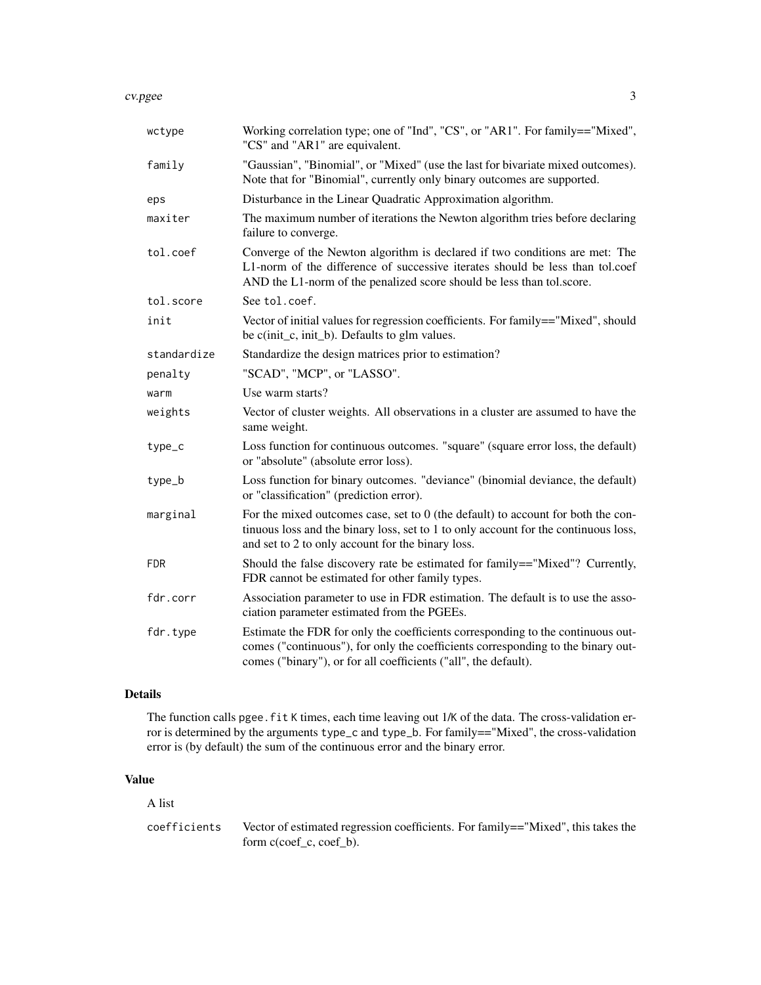#### cv.pgee 3

| wctype      | Working correlation type; one of "Ind", "CS", or "AR1". For family=="Mixed",<br>"CS" and "AR1" are equivalent.                                                                                                                         |
|-------------|----------------------------------------------------------------------------------------------------------------------------------------------------------------------------------------------------------------------------------------|
| family      | "Gaussian", "Binomial", or "Mixed" (use the last for bivariate mixed outcomes).<br>Note that for "Binomial", currently only binary outcomes are supported.                                                                             |
| eps         | Disturbance in the Linear Quadratic Approximation algorithm.                                                                                                                                                                           |
| maxiter     | The maximum number of iterations the Newton algorithm tries before declaring<br>failure to converge.                                                                                                                                   |
| tol.coef    | Converge of the Newton algorithm is declared if two conditions are met: The<br>L1-norm of the difference of successive iterates should be less than tol.coef<br>AND the L1-norm of the penalized score should be less than tol.score.  |
| tol.score   | See tol.coef.                                                                                                                                                                                                                          |
| init        | Vector of initial values for regression coefficients. For family=="Mixed", should<br>be c(init_c, init_b). Defaults to glm values.                                                                                                     |
| standardize | Standardize the design matrices prior to estimation?                                                                                                                                                                                   |
| penalty     | "SCAD", "MCP", or "LASSO".                                                                                                                                                                                                             |
| warm        | Use warm starts?                                                                                                                                                                                                                       |
| weights     | Vector of cluster weights. All observations in a cluster are assumed to have the<br>same weight.                                                                                                                                       |
| type_c      | Loss function for continuous outcomes. "square" (square error loss, the default)<br>or "absolute" (absolute error loss).                                                                                                               |
| type_b      | Loss function for binary outcomes. "deviance" (binomial deviance, the default)<br>or "classification" (prediction error).                                                                                                              |
| marginal    | For the mixed outcomes case, set to $0$ (the default) to account for both the con-<br>tinuous loss and the binary loss, set to 1 to only account for the continuous loss,<br>and set to 2 to only account for the binary loss.         |
| <b>FDR</b>  | Should the false discovery rate be estimated for family=="Mixed"? Currently,<br>FDR cannot be estimated for other family types.                                                                                                        |
| fdr.corr    | Association parameter to use in FDR estimation. The default is to use the asso-<br>ciation parameter estimated from the PGEEs.                                                                                                         |
| fdr.type    | Estimate the FDR for only the coefficients corresponding to the continuous out-<br>comes ("continuous"), for only the coefficients corresponding to the binary out-<br>comes ("binary"), or for all coefficients ("all", the default). |

#### Details

The function calls pgee. fit K times, each time leaving out 1/K of the data. The cross-validation error is determined by the arguments type\_c and type\_b. For family=="Mixed", the cross-validation error is (by default) the sum of the continuous error and the binary error.

### Value

A list

coefficients Vector of estimated regression coefficients. For family=="Mixed", this takes the form c(coef\_c, coef\_b).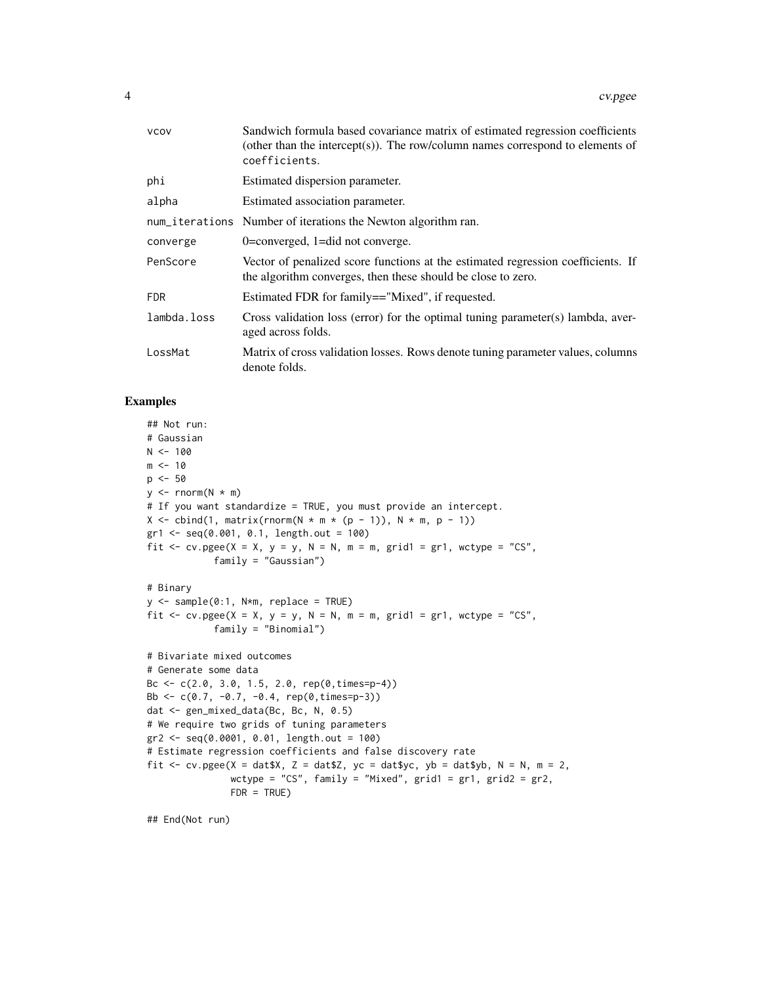| <b>VCOV</b> | Sandwich formula based covariance matrix of estimated regression coefficients<br>(other than the intercept(s)). The row/column names correspond to elements of<br>coefficients. |
|-------------|---------------------------------------------------------------------------------------------------------------------------------------------------------------------------------|
| phi         | Estimated dispersion parameter.                                                                                                                                                 |
| alpha       | Estimated association parameter.                                                                                                                                                |
|             | num_iterations Number of iterations the Newton algorithm ran.                                                                                                                   |
| converge    | $0 =$ converged, $1 =$ did not converge.                                                                                                                                        |
| PenScore    | Vector of penalized score functions at the estimated regression coefficients. If<br>the algorithm converges, then these should be close to zero.                                |
| <b>FDR</b>  | Estimated FDR for family=="Mixed", if requested.                                                                                                                                |
| lambda.loss | Cross validation loss (error) for the optimal tuning parameter(s) lambda, aver-<br>aged across folds.                                                                           |
| LossMat     | Matrix of cross validation losses. Rows denote tuning parameter values, columns<br>denote folds.                                                                                |

#### Examples

```
## Not run:
# Gaussian
N < - 100m < - 10p \le -50y \leftarrow \text{norm}(N * m)# If you want standardize = TRUE, you must provide an intercept.
X \le cbind(1, matrix(rnorm(N * m * (p - 1)), N * m, p - 1))
gr1 <- seq(0.001, 0.1, length.out = 100)
fit \le cv.pgee(X = X, y = y, N = N, m = m, grid1 = gr1, wctype = "CS",
            family = "Gaussian")
# Binary
y <- sample(0:1, N*m, replace = TRUE)
fit \leq cv.pgee(X = X, y = y, N = N, m = m, grid1 = gr1, wctype = "CS",
            family = "Binomial")
# Bivariate mixed outcomes
# Generate some data
Bc <- c(2.0, 3.0, 1.5, 2.0, rep(0,times=p-4))
Bb <- c(0.7, -0.7, -0.4, rep(0,times=p-3))
dat <- gen_mixed_data(Bc, Bc, N, 0.5)
# We require two grids of tuning parameters
gr2 <- seq(0.0001, 0.01, length.out = 100)
# Estimate regression coefficients and false discovery rate
fit <- cv.pgee(X = dat$X, Z = dat$Z, yc = dat$yc, yb = dat$yb, N = N, m = 2,
               wctype = "CS", family = "Mixed", grid1 = gr1, grid2 = gr2,
               FDR = TRUE)
```
## End(Not run)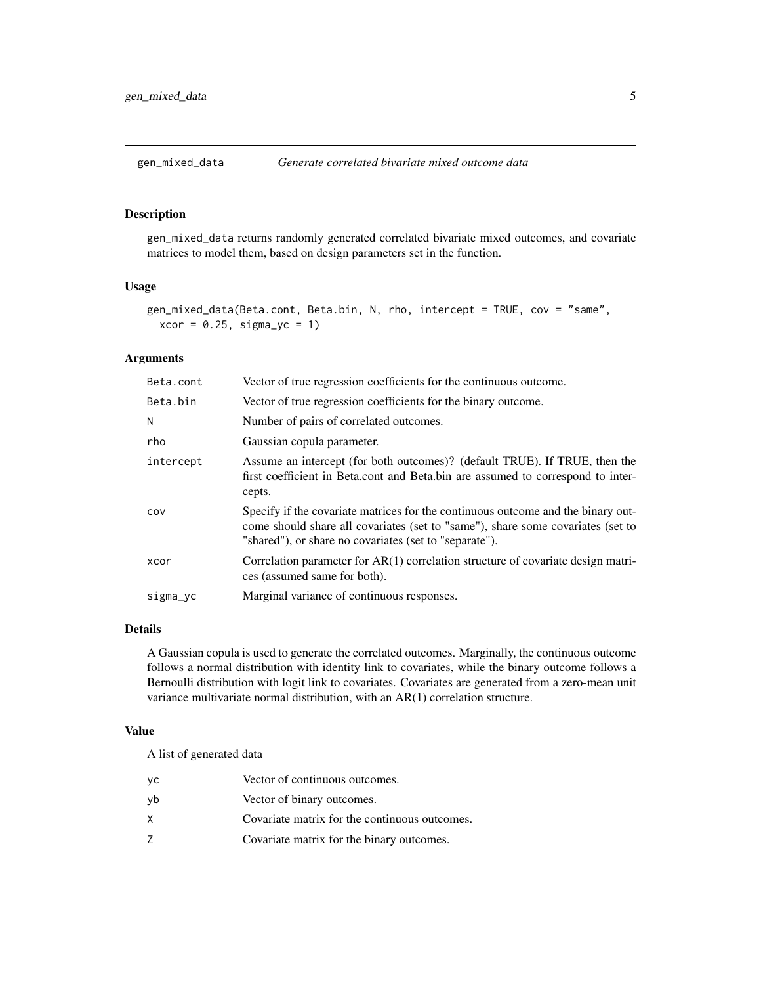<span id="page-4-0"></span>

#### Description

gen\_mixed\_data returns randomly generated correlated bivariate mixed outcomes, and covariate matrices to model them, based on design parameters set in the function.

#### Usage

```
gen_mixed_data(Beta.cont, Beta.bin, N, rho, intercept = TRUE, cov = "same",
 xcor = 0.25, sigma_yoc = 1
```
#### Arguments

| Beta.cont | Vector of true regression coefficients for the continuous outcome.                                                                                                                                                            |
|-----------|-------------------------------------------------------------------------------------------------------------------------------------------------------------------------------------------------------------------------------|
| Beta.bin  | Vector of true regression coefficients for the binary outcome.                                                                                                                                                                |
| N         | Number of pairs of correlated outcomes.                                                                                                                                                                                       |
| rho       | Gaussian copula parameter.                                                                                                                                                                                                    |
| intercept | Assume an intercept (for both outcomes)? (default TRUE). If TRUE, then the<br>first coefficient in Beta.cont and Beta.bin are assumed to correspond to inter-<br>cepts.                                                       |
| COV       | Specify if the covariate matrices for the continuous outcome and the binary out-<br>come should share all covariates (set to "same"), share some covariates (set to<br>"shared"), or share no covariates (set to "separate"). |
| xcor      | Correlation parameter for $AR(1)$ correlation structure of covariate design matri-<br>ces (assumed same for both).                                                                                                            |
| sigma_yc  | Marginal variance of continuous responses.                                                                                                                                                                                    |

#### Details

A Gaussian copula is used to generate the correlated outcomes. Marginally, the continuous outcome follows a normal distribution with identity link to covariates, while the binary outcome follows a Bernoulli distribution with logit link to covariates. Covariates are generated from a zero-mean unit variance multivariate normal distribution, with an AR(1) correlation structure.

#### Value

A list of generated data

| yс | Vector of continuous outcomes.                |
|----|-----------------------------------------------|
| νb | Vector of binary outcomes.                    |
| x. | Covariate matrix for the continuous outcomes. |
| Ζ  | Covariate matrix for the binary outcomes.     |
|    |                                               |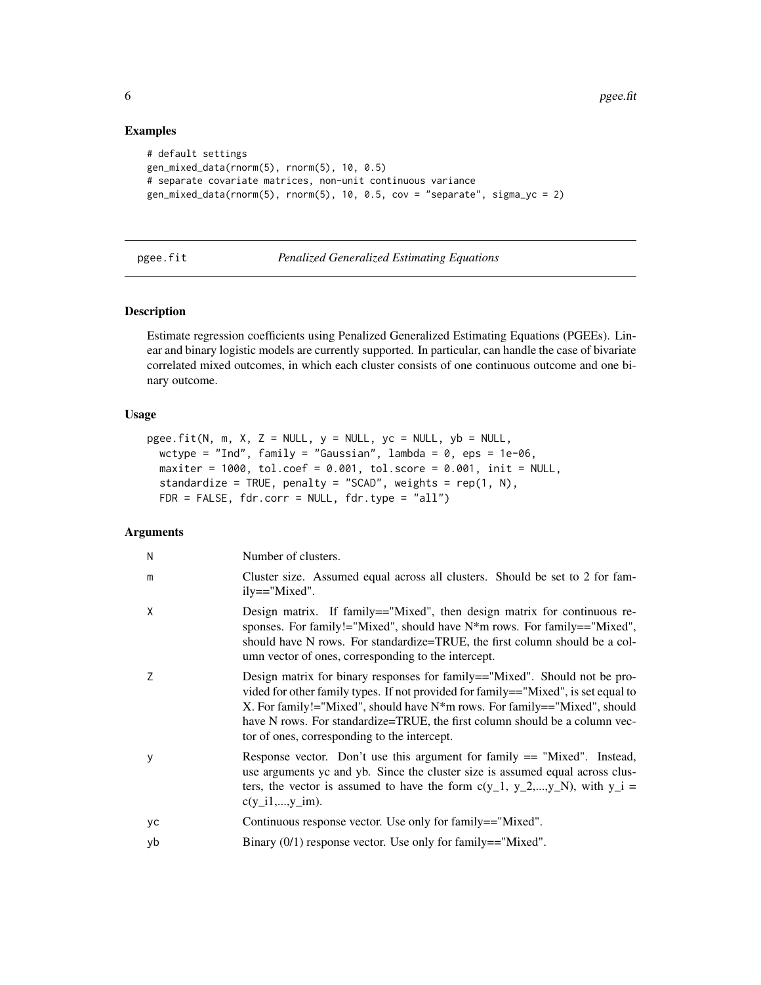#### Examples

```
# default settings
gen_mixed_data(rnorm(5), rnorm(5), 10, 0.5)
# separate covariate matrices, non-unit continuous variance
gen_mixed_data(rnorm(5), rnorm(5), 10, 0.5, cov = "separate", sigma_yc = 2)
```
#### pgee.fit *Penalized Generalized Estimating Equations*

#### Description

Estimate regression coefficients using Penalized Generalized Estimating Equations (PGEEs). Linear and binary logistic models are currently supported. In particular, can handle the case of bivariate correlated mixed outcomes, in which each cluster consists of one continuous outcome and one binary outcome.

#### Usage

```
pgee.fit(N, m, X, Z = NULL, y = NULL, yc = NULL, yb = NULL,
 wctype = "Ind", family = "Gaussian", lambda = 0, eps = 1e-06,
 maxiter = 1000, tol.coef = 0.001, tol.score = 0.001, init = NULL,
 standardize = TRUE, penalty = "SCAD", weights = rep(1, N),
 FDR = FALSE, fdr.corr = NULL, fdr.type = "all")
```
#### Arguments

| Ν  | Number of clusters.                                                                                                                                                                                                                                                                                                                                                             |
|----|---------------------------------------------------------------------------------------------------------------------------------------------------------------------------------------------------------------------------------------------------------------------------------------------------------------------------------------------------------------------------------|
| m  | Cluster size. Assumed equal across all clusters. Should be set to 2 for fam-<br>ily=="Mixed".                                                                                                                                                                                                                                                                                   |
| Χ  | Design matrix. If family=="Mixed", then design matrix for continuous re-<br>sponses. For family!="Mixed", should have $N^*$ m rows. For family=="Mixed",<br>should have N rows. For standardize=TRUE, the first column should be a col-<br>umn vector of ones, corresponding to the intercept.                                                                                  |
| Ζ  | Design matrix for binary responses for family=="Mixed". Should not be pro-<br>vided for other family types. If not provided for family=="Mixed", is set equal to<br>X. For family!="Mixed", should have $N^*m$ rows. For family=="Mixed", should<br>have N rows. For standardize=TRUE, the first column should be a column vec-<br>tor of ones, corresponding to the intercept. |
| у  | Response vector. Don't use this argument for family $==$ "Mixed". Instead,<br>use arguments yc and yb. Since the cluster size is assumed equal across clus-<br>ters, the vector is assumed to have the form $c(y_1, y_2, , y_N)$ , with $y_i =$<br>$c(y_i1,,y_im)$ .                                                                                                            |
| yс | Continuous response vector. Use only for family=="Mixed".                                                                                                                                                                                                                                                                                                                       |
| yb | Binary $(0/1)$ response vector. Use only for family=="Mixed".                                                                                                                                                                                                                                                                                                                   |
|    |                                                                                                                                                                                                                                                                                                                                                                                 |

<span id="page-5-0"></span>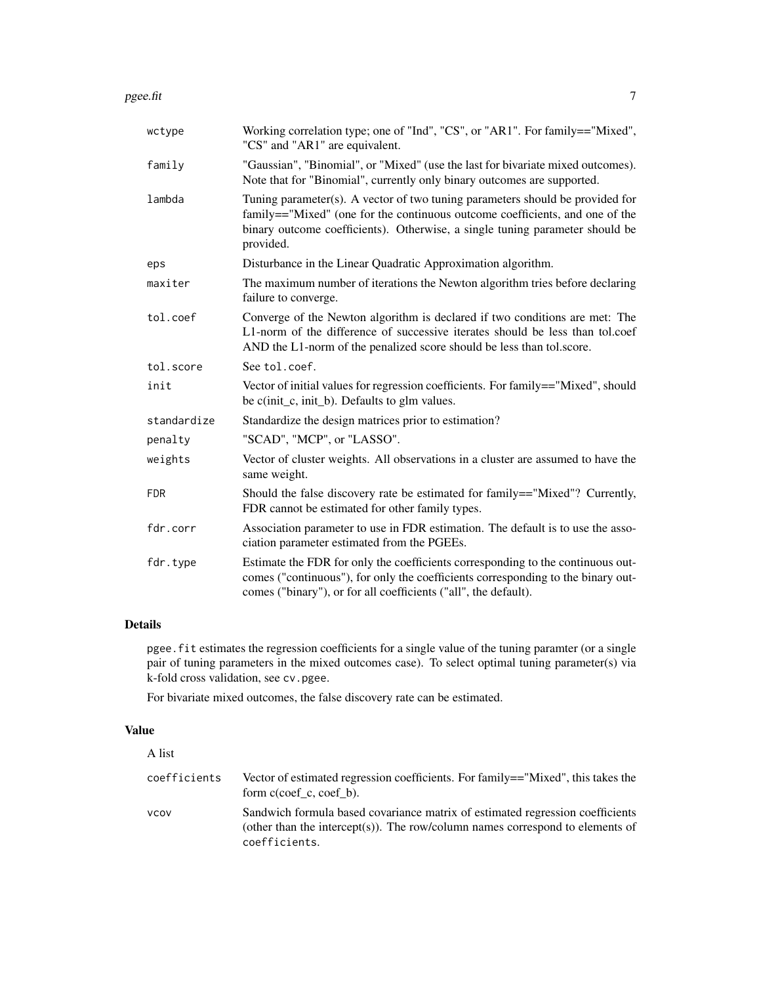| wctype      | Working correlation type; one of "Ind", "CS", or "AR1". For family=="Mixed",<br>"CS" and "AR1" are equivalent.                                                                                                                                             |
|-------------|------------------------------------------------------------------------------------------------------------------------------------------------------------------------------------------------------------------------------------------------------------|
| family      | "Gaussian", "Binomial", or "Mixed" (use the last for bivariate mixed outcomes).<br>Note that for "Binomial", currently only binary outcomes are supported.                                                                                                 |
| lambda      | Tuning parameter(s). A vector of two tuning parameters should be provided for<br>family=="Mixed" (one for the continuous outcome coefficients, and one of the<br>binary outcome coefficients). Otherwise, a single tuning parameter should be<br>provided. |
| eps         | Disturbance in the Linear Quadratic Approximation algorithm.                                                                                                                                                                                               |
| maxiter     | The maximum number of iterations the Newton algorithm tries before declaring<br>failure to converge.                                                                                                                                                       |
| tol.coef    | Converge of the Newton algorithm is declared if two conditions are met: The<br>L1-norm of the difference of successive iterates should be less than tol.coef<br>AND the L1-norm of the penalized score should be less than tol.score.                      |
| tol.score   | See tol.coef.                                                                                                                                                                                                                                              |
| init        | Vector of initial values for regression coefficients. For family=="Mixed", should<br>be c(init_c, init_b). Defaults to glm values.                                                                                                                         |
| standardize | Standardize the design matrices prior to estimation?                                                                                                                                                                                                       |
| penalty     | "SCAD", "MCP", or "LASSO".                                                                                                                                                                                                                                 |
| weights     | Vector of cluster weights. All observations in a cluster are assumed to have the<br>same weight.                                                                                                                                                           |
| <b>FDR</b>  | Should the false discovery rate be estimated for family=="Mixed"? Currently,<br>FDR cannot be estimated for other family types.                                                                                                                            |
| fdr.corr    | Association parameter to use in FDR estimation. The default is to use the asso-<br>ciation parameter estimated from the PGEEs.                                                                                                                             |
| fdr.type    | Estimate the FDR for only the coefficients corresponding to the continuous out-<br>comes ("continuous"), for only the coefficients corresponding to the binary out-<br>comes ("binary"), or for all coefficients ("all", the default).                     |

#### Details

pgee.fit estimates the regression coefficients for a single value of the tuning paramter (or a single pair of tuning parameters in the mixed outcomes case). To select optimal tuning parameter(s) via k-fold cross validation, see cv.pgee.

For bivariate mixed outcomes, the false discovery rate can be estimated.

#### Value

| A list       |                                                                                                                                                                                 |
|--------------|---------------------------------------------------------------------------------------------------------------------------------------------------------------------------------|
| coefficients | Vector of estimated regression coefficients. For family=="Mixed", this takes the<br>form $c(\text{coef} \ c, \text{coef} \ b)$ .                                                |
| <b>VCOV</b>  | Sandwich formula based covariance matrix of estimated regression coefficients<br>(other than the intercept(s)). The row/column names correspond to elements of<br>coefficients. |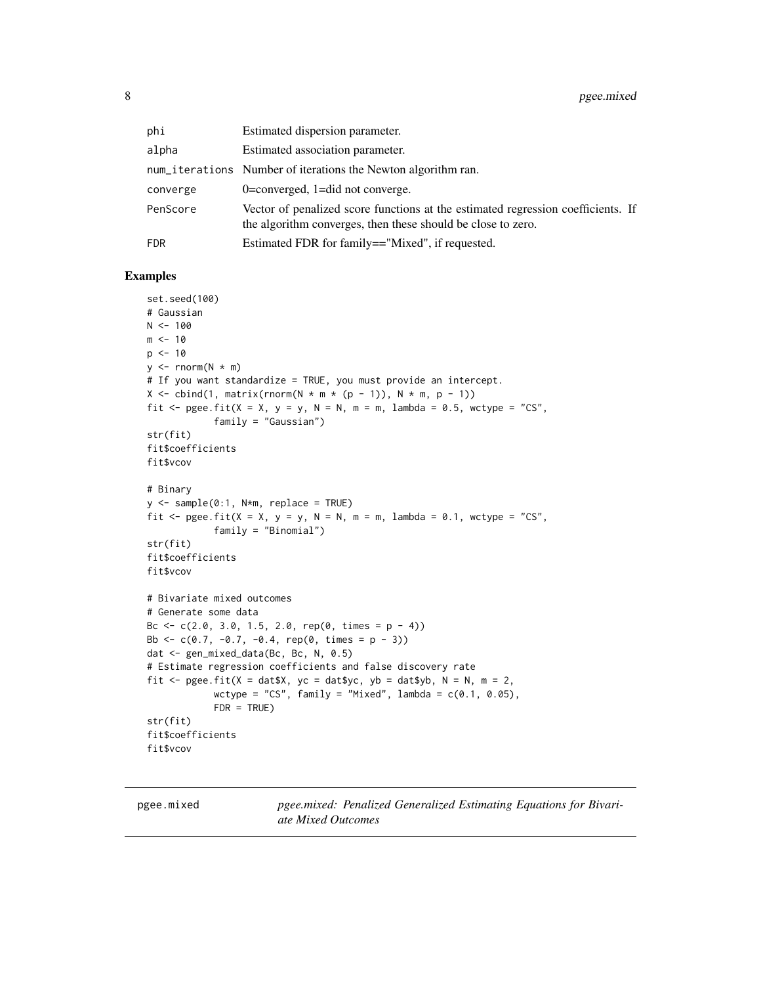<span id="page-7-0"></span>

| phi      | Estimated dispersion parameter.                                                                                                                  |
|----------|--------------------------------------------------------------------------------------------------------------------------------------------------|
| alpha    | Estimated association parameter.                                                                                                                 |
|          | num_iterations Number of iterations the Newton algorithm ran.                                                                                    |
| converge | $0$ =converged, 1=did not converge.                                                                                                              |
| PenScore | Vector of penalized score functions at the estimated regression coefficients. If<br>the algorithm converges, then these should be close to zero. |
| FDR      | Estimated FDR for family=="Mixed", if requested.                                                                                                 |

#### Examples

```
set.seed(100)
# Gaussian
N < - 100m < -10p \le -10y \leq -rnorm(N * m)# If you want standardize = TRUE, you must provide an intercept.
X \le cbind(1, matrix(rnorm(N * m * (p - 1)), N * m, p - 1))
fit \leq pgee.fit(X = X, y = y, N = N, m = m, lambda = 0.5, wctype = "CS",
            family = "Gaussian")
str(fit)
fit$coefficients
fit$vcov
# Binary
y <- sample(0:1, N*m, replace = TRUE)
fit \leq pgee.fit(X = X, y = y, N = N, m = m, lambda = 0.1, wctype = "CS",
            family = "Binomial")
str(fit)
fit$coefficients
fit$vcov
# Bivariate mixed outcomes
# Generate some data
Bc \leq c(2.0, 3.0, 1.5, 2.0, rep(0, times = p - 4))
Bb \leq c(0.7, -0.7, -0.4, rep(0, times = p - 3))
dat <- gen_mixed_data(Bc, Bc, N, 0.5)
# Estimate regression coefficients and false discovery rate
fit \leq pgee.fit(X = dat$X, yc = dat$yc, yb = dat$yb, N = N, m = 2,
            wctype = "CS", family = "Mixed", lambda = c(0.1, 0.05),
            FDR = TRUE)
str(fit)
fit$coefficients
fit$vcov
```
pgee.mixed *pgee.mixed: Penalized Generalized Estimating Equations for Bivariate Mixed Outcomes*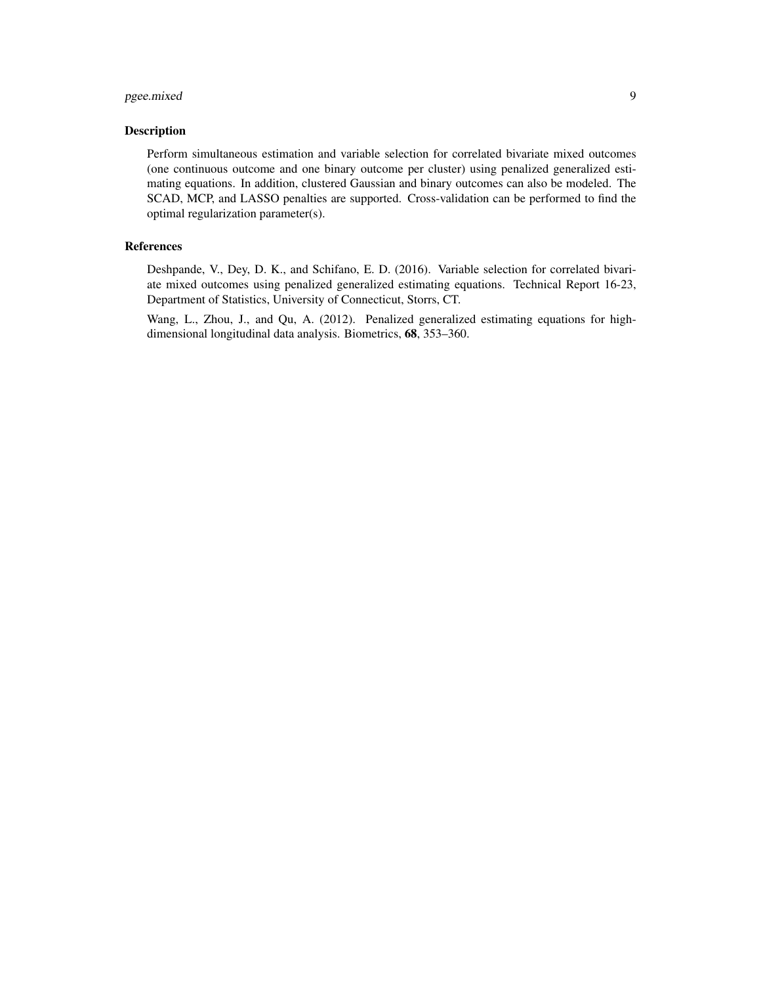#### pgee.mixed 9

#### Description

Perform simultaneous estimation and variable selection for correlated bivariate mixed outcomes (one continuous outcome and one binary outcome per cluster) using penalized generalized estimating equations. In addition, clustered Gaussian and binary outcomes can also be modeled. The SCAD, MCP, and LASSO penalties are supported. Cross-validation can be performed to find the optimal regularization parameter(s).

#### References

Deshpande, V., Dey, D. K., and Schifano, E. D. (2016). Variable selection for correlated bivariate mixed outcomes using penalized generalized estimating equations. Technical Report 16-23, Department of Statistics, University of Connecticut, Storrs, CT.

Wang, L., Zhou, J., and Qu, A. (2012). Penalized generalized estimating equations for highdimensional longitudinal data analysis. Biometrics, 68, 353–360.